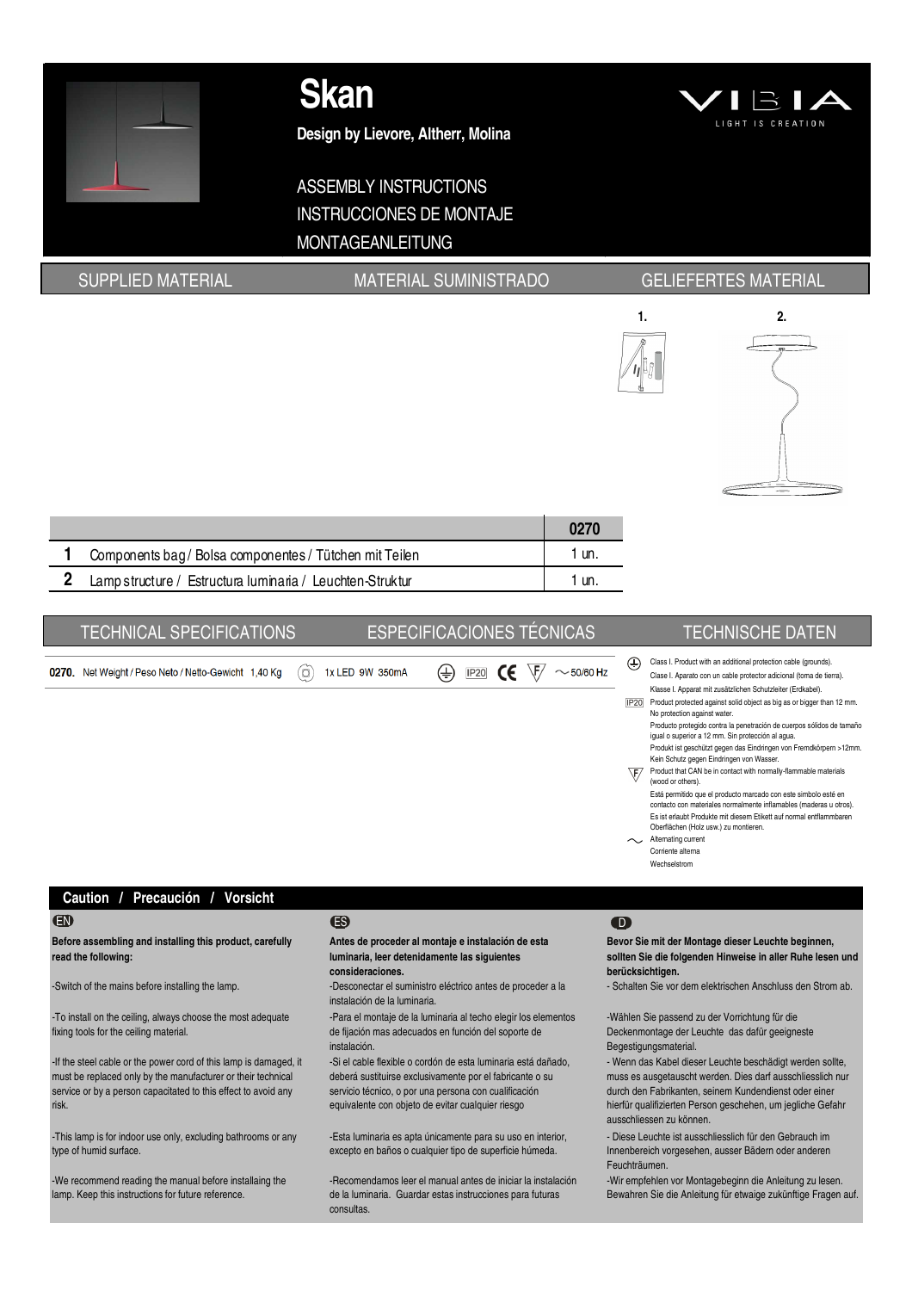

**Design by Lievore, Altherr, Molina**

# ASSEMBLY INSTRUCTIONS INSTRUCCIONES DE MONTAJE MONTAGEANLEITUNG



## SUPPLIED MATERIAL MATERIAL MATERIAL SUMINISTRADO GELIEFERTES MATERIAL





| Components bag / Bolsa componentes / Tütchen mit Teilen   | un. |
|-----------------------------------------------------------|-----|
| Lamp structure / Estructura luminaria / Leuchten-Struktur |     |

| <b>TECHNICAL SPECIFICATIONS</b>                     |                            | <b>ESPECIFICACIONES TÉCNICAS</b> |                           |                                               | <b>TECHNISCHE DATEN</b>                                                                                                                                                                                                                                                                                                                                                                                                                                                                                                                                                                                                                                                                                                                                                                                                                                                                                                                                                       |
|-----------------------------------------------------|----------------------------|----------------------------------|---------------------------|-----------------------------------------------|-------------------------------------------------------------------------------------------------------------------------------------------------------------------------------------------------------------------------------------------------------------------------------------------------------------------------------------------------------------------------------------------------------------------------------------------------------------------------------------------------------------------------------------------------------------------------------------------------------------------------------------------------------------------------------------------------------------------------------------------------------------------------------------------------------------------------------------------------------------------------------------------------------------------------------------------------------------------------------|
| 270. Net Weight / Peso Neto / Netto-Gewicht 1,40 Kg | 1x LED 9W 350mA<br>$\circ$ | $\left( \pm \right)$             | <b>IP20</b><br>$\epsilon$ | ⊕<br>$\sim$ 50/60 Hz<br>IP20<br>\F⁄<br>$\sim$ | Class I. Product with an additional protection cable (grounds).<br>Clase I. Aparato con un cable protector adicional (toma de tierra).<br>Klasse I. Apparat mit zusätzlichen Schutzleiter (Erdkabel).<br>Product protected against solid object as big as or bigger than 12 mm.<br>No protection against water.<br>Producto protegido contra la penetración de cuerpos sólidos de tamaño<br>igual o superior a 12 mm. Sin protección al agua.<br>Produkt ist geschützt gegen das Eindringen von Fremdkörpern >12mm.<br>Kein Schutz gegen Eindringen von Wasser.<br>Product that CAN be in contact with normally-flammable materials<br>(wood or others).<br>Está permitido que el producto marcado con este simbolo esté en<br>contacto con materiales normalmente inflamables (maderas u otros).<br>Es ist erlaubt Produkte mit diesem Etikett auf normal entflammbaren<br>Oberflächen (Holz usw.) zu montieren.<br>Alternating current<br>Corriente alterna<br>Wechselstrom |
|                                                     |                            |                                  |                           |                                               |                                                                                                                                                                                                                                                                                                                                                                                                                                                                                                                                                                                                                                                                                                                                                                                                                                                                                                                                                                               |

### **Caution / Precaución / Vorsicht**

0270

**Before assembling and installing this product, carefully read the following:**

-To install on the ceiling, always choose the most adequate fixing tools for the ceiling material.

-If the steel cable or the power cord of this lamp is damaged, it must be replaced only by the manufacturer or their technical service or by a person capacitated to this effect to avoid any risk.

-This lamp is for indoor use only, excluding bathrooms or any type of humid surface.

-We recommend reading the manual before installaing the lamp. Keep this instructions for future reference.

### EN ES D

**Antes de proceder al montaje e instalación de esta luminaria, leer detenidamente las siguientes** 

**consideraciones.** -Switch of the mains before installing the lamp.  $\blacksquare$  -Desconectar el suministro eléctrico antes de proceder a la instalación de la luminaria.

-Para el montaje de la luminaria al techo elegir los elementos de fijación mas adecuados en función del soporte de instalación.

-Si el cable flexible o cordón de esta luminaria está dañado, deberá sustituirse exclusivamente por el fabricante o su servicio técnico, o por una persona con cualificación equivalente con objeto de evitar cualquier riesgo

-Esta luminaria es apta únicamente para su uso en interior, excepto en baños o cualquier tipo de superficie húmeda.

-Recomendamos leer el manual antes de iniciar la instalación de la luminaria. Guardar estas instrucciones para futuras consultas.

**Bevor Sie mit der Montage dieser Leuchte beginnen, sollten Sie die folgenden Hinweise in aller Ruhe lesen und berücksichtigen.**

- Schalten Sie vor dem elektrischen Anschluss den Strom ab.

-Wählen Sie passend zu der Vorrichtung für die Deckenmontage der Leuchte das dafür geeigneste Begestigungsmaterial.

- Wenn das Kabel dieser Leuchte beschädigt werden sollte, muss es ausgetauscht werden. Dies darf ausschliesslich nur durch den Fabrikanten, seinem Kundendienst oder einer hierfür qualifizierten Person geschehen, um jegliche Gefahr ausschliessen zu können.

- Diese Leuchte ist ausschliesslich für den Gebrauch im Innenbereich vorgesehen, ausser Bädern oder anderen Feuchträumen.

-Wir empfehlen vor Montagebeginn die Anleitung zu lesen. Bewahren Sie die Anleitung für etwaige zukünftige Fragen auf.

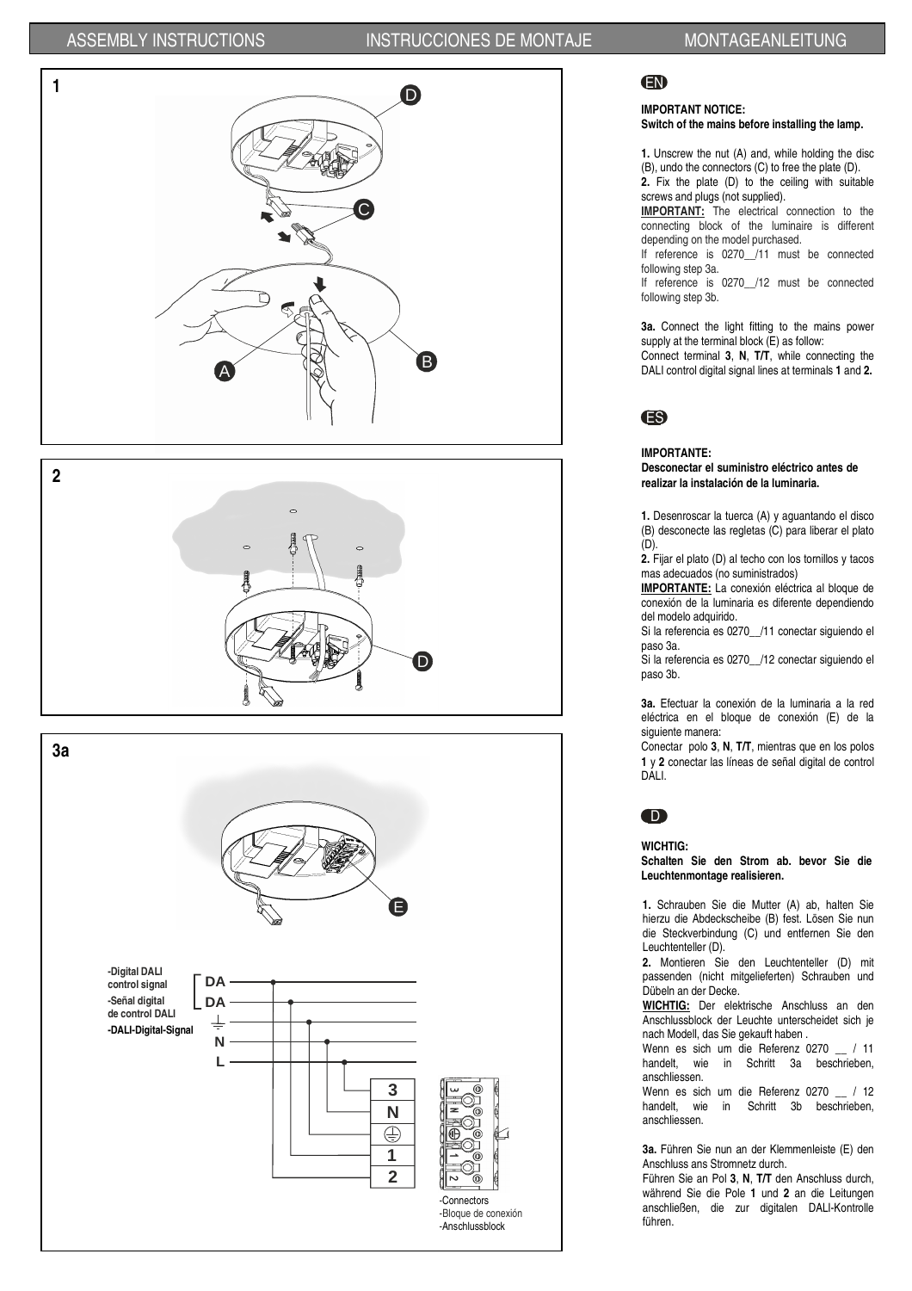







## EN

### **IMPORTANT NOTICE: Switch of the mains before installing the lamp.**

**1.** Unscrew the nut (A) and, while holding the disc (B), undo the connectors (C) to free the plate (D). **2.** Fix the plate (D) to the ceiling with suitable

screws and plugs (not supplied). **IMPORTANT:** The electrical connection to the

connecting block of the luminaire is different depending on the model purchased.

If reference is 0270 /11 must be connected following step 3a.

If reference is 0270 /12 must be connected following step 3b.

**3a.** Connect the light fitting to the mains power supply at the terminal block (E) as follow: Connect terminal **3**, **N**, **T/T**, while connecting the DALI control digital signal lines at terminals **1** and **2.**



### **IMPORTANTE: Desconectar el suministro eléctrico antes de**

**realizar la instalación de la luminaria.** 

**1.** Desenroscar la tuerca (A) y aguantando el disco (B) desconecte las regletas (C) para liberar el plato  $(D)$ 

**2.** Fijar el plato (D) al techo con los tornillos y tacos mas adecuados (no suministrados)

**IMPORTANTE:** La conexión eléctrica al bloque de conexión de la luminaria es diferente dependiendo del modelo adquirido.

Si la referencia es 0270 /11 conectar siguiendo el paso 3a.

Si la referencia es 0270\_\_/12 conectar siguiendo el paso 3b.

**3a.** Efectuar la conexión de la luminaria a la red eléctrica en el bloque de conexión (E) de la siguiente manera:

Conectar polo **3**, **N**, **T/T**, mientras que en los polos **1** y **2** conectar las líneas de señal digital de control DALI.



**WICHTIG:** 

**Schalten Sie den Strom ab. bevor Sie die Leuchtenmontage realisieren.** 

**1.** Schrauben Sie die Mutter (A) ab, halten Sie hierzu die Abdeckscheibe (B) fest. Lösen Sie nun die Steckverbindung (C) und entfernen Sie den Leuchtenteller (D).

**2.** Montieren Sie den Leuchtenteller (D) mit passenden (nicht mitgelieferten) Schrauben und Dübeln an der Decke.

**WICHTIG:** Der elektrische Anschluss an den Anschlussblock der Leuchte unterscheidet sich je nach Modell, das Sie gekauft haben .

Wenn es sich um die Referenz 0270 \_\_ / 11<br>handelt, wie in Schritt 3a beschrieben, in Schritt 3a beschrieben, anschliessen.

Wenn es sich um die Referenz 0270 \_\_ / 12 handelt, wie in Schritt 3b beschrieben, anschliessen.

**3a.** Führen Sie nun an der Klemmenleiste (E) den Anschluss ans Stromnetz durch.

Führen Sie an Pol **3**, **N**, **T/T** den Anschluss durch, während Sie die Pole **1** und **2** an die Leitungen anschließen, die zur digitalen DALI-Kontrolle führen.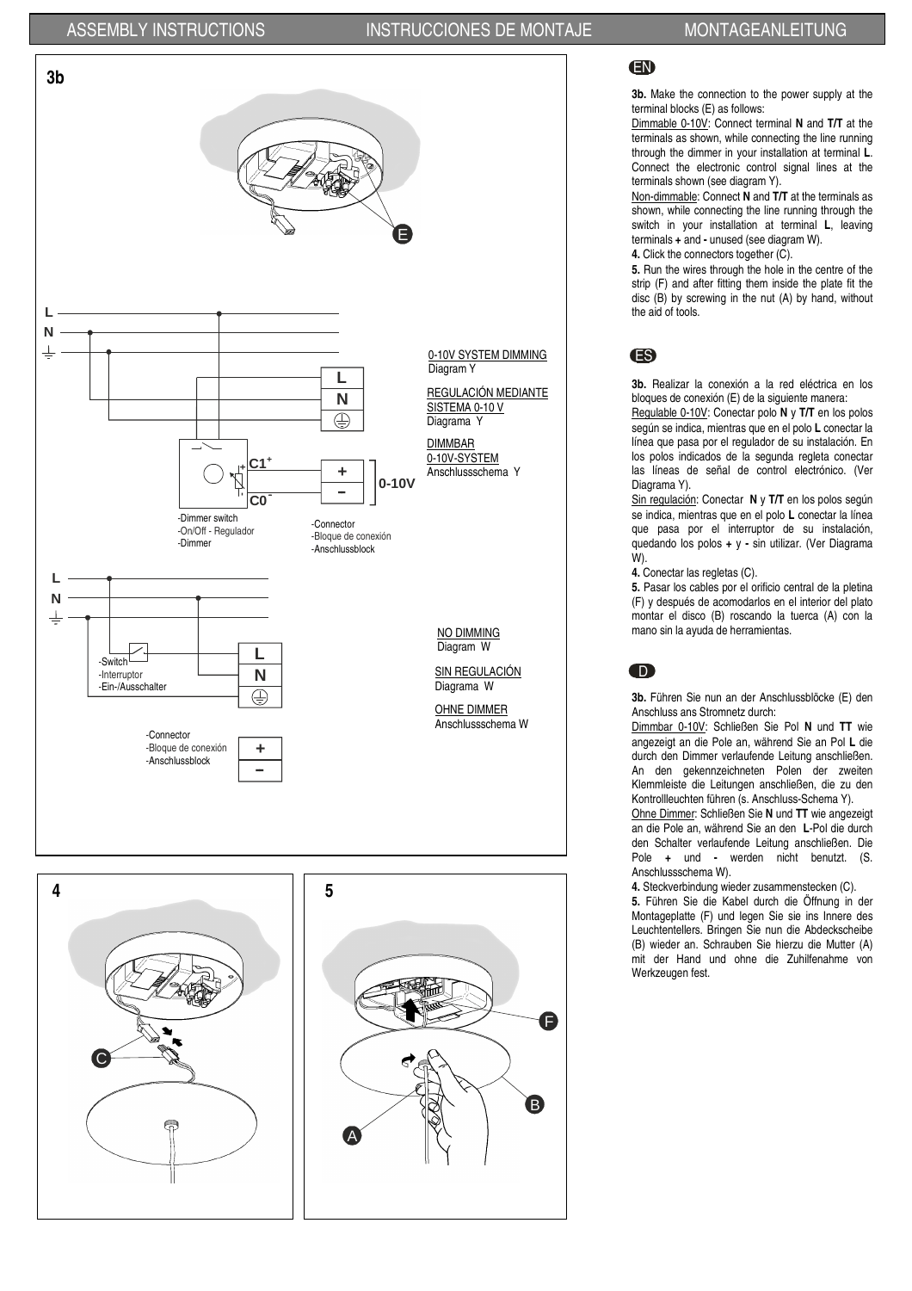## ASSEMBLY INSTRUCTIONS INSTRUCCIONES DE MONTAJE MONTAGEANLEITUNG





**3b.** Make the connection to the power supply at the terminal blocks (E) as follows:

Dimmable 0-10V: Connect terminal **N** and **T/T** at the terminals as shown, while connecting the line running through the dimmer in your installation at terminal **L**. Connect the electronic control signal lines at the terminals shown (see diagram Y).

Non-dimmable: Connect **N** and **T/T** at the terminals as shown, while connecting the line running through the switch in your installation at terminal **L**, leaving terminals **+** and **-** unused (see diagram W). **4.** Click the connectors together (C).

**5.** Run the wires through the hole in the centre of the strip (F) and after fitting them inside the plate fit the disc (B) by screwing in the nut (A) by hand, without the aid of tools.

## ES

**3b.** Realizar la conexión a la red eléctrica en los bloques de conexión (E) de la siguiente manera:

Regulable 0-10V: Conectar polo **N** y **T/T** en los polos según se indica, mientras que en el polo **L** conectar la línea que pasa por el regulador de su instalación. En los polos indicados de la segunda regleta conectar las líneas de señal de control electrónico. (Ver Diagrama Y).

Sin regulación: Conectar **N** y **T/T** en los polos según se indica, mientras que en el polo **L** conectar la línea que pasa por el interruptor de su instalación, quedando los polos **+** y **-** sin utilizar. (Ver Diagrama W).

**4.** Conectar las regletas (C).

**5.** Pasar los cables por el orificio central de la pletina (F) y después de acomodarlos en el interior del plato montar el disco (B) roscando la tuerca (A) con la mano sin la ayuda de herramientas.

## D

**3b.** Führen Sie nun an der Anschlussblöcke (E) den Anschluss ans Stromnetz durch:

Dimmbar 0-10V: Schließen Sie Pol **N** und **TT** wie angezeigt an die Pole an, während Sie an Pol **L** die durch den Dimmer verlaufende Leitung anschließen. An den gekennzeichneten Polen der zweiten Klemmleiste die Leitungen anschließen, die zu den Kontrollleuchten führen (s. Anschluss-Schema Y).

Ohne Dimmer: Schließen Sie **N** und **TT** wie angezeigt an die Pole an, während Sie an den **L**-Pol die durch den Schalter verlaufende Leitung anschließen. Die Pole **+** und **-** werden nicht benutzt. (S. Anschlussschema W).

**4.** Steckverbindung wieder zusammenstecken (C).

**5.** Führen Sie die Kabel durch die Öffnung in der Montageplatte (F) und legen Sie sie ins Innere des Leuchtentellers. Bringen Sie nun die Abdeckscheibe (B) wieder an. Schrauben Sie hierzu die Mutter (A) mit der Hand und ohne die Zuhilfenahme von Werkzeugen fest.